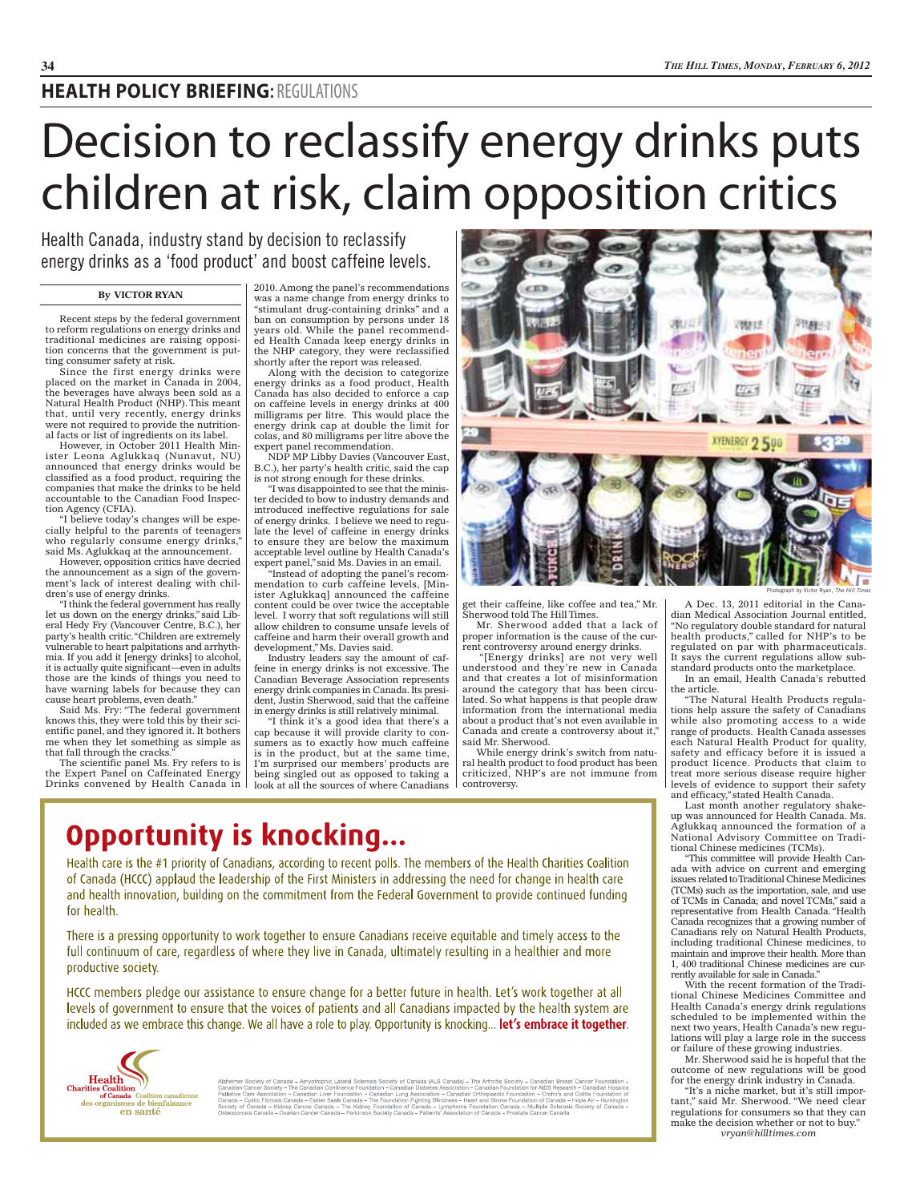# Decision to reclassify energy drinks puts children at risk, claim opposition critics

Health Canada, industry stand by decision to reclassify energy drinks as a 'food product' and boost caffeine levels.

#### **By VICTOR RYAN**

Recent steps by the federal government to reform regulations on energy drinks and traditional medicines are raising opposition concerns that the government is putting consumer safety at risk.

Since the first energy drinks were placed on the market in Canada in 2004, the beverages have always been sold as a Natural Health Product (NHP). This meant that, until very recently, energy drinks were not required to provide the nutritional facts or list of ingredients on its label.

However, in October 2011 Health Minister Leona Aglukkaq (Nunavut, NU) announced that energy drinks would be classified as a food product, requiring the companies that make the drinks to be held accountable to the Canadian Food Inspection Agency (CFIA).

"I believe today's changes will be especially helpful to the parents of teenagers who regularly consume energy drinks," said Ms. Aglukkaq at the announcement.

However, opposition critics have decried the announcement as a sign of the government's lack of interest dealing with children's use of energy drinks.

"I think the federal government has really let us down on the energy drinks," said Liberal Hedy Fry (Vancouver Centre, B.C.), her party's health critic. "Children are extremely vulnerable to heart palpitations and arrhythmia. If you add it [energy drinks] to alcohol, it is actually quite significant—even in adults those are the kinds of things you need to have warning labels for because they can cause heart problems, even death."

Said Ms. Fry: "The federal government knows this, they were told this by their scientific panel, and they ignored it. It bothers me when they let something as simple as that fall through the cracks."

The scientific panel Ms. Fry refers to is the Expert Panel on Caffeinated Energy Drinks convened by Health Canada in 2010. Among the panel's recommendations was a name change from energy drinks to "stimulant drug-containing drinks" and a ban on consumption by persons under 18 years old. While the panel recommended Health Canada keep energy drinks in the NHP category, they were reclassified shortly after the report was released.

Along with the decision to categorize energy drinks as a food product, Health Canada has also decided to enforce a cap on caffeine levels in energy drinks at 400 milligrams per litre. This would place the energy drink cap at double the limit for colas, and 80 milligrams per litre above the expert panel recommendation.

NDP MP Libby Davies (Vancouver East, B.C.), her party's health critic, said the cap is not strong enough for these drinks.

"I was disappointed to see that the minister decided to bow to industry demands and introduced ineffective regulations for sale of energy drinks. I believe we need to regulate the level of caffeine in energy drinks to ensure they are below the maximum acceptable level outline by Health Canada's expert panel," said Ms. Davies in an email.

"Instead of adopting the panel's recommendation to curb caffeine levels, [Minister Aglukkaq] announced the caffeine content could be over twice the acceptable level. I worry that soft regulations will still allow children to consume unsafe levels of caffeine and harm their overall growth and development," Ms. Davies said.

Industry leaders say the amount of caffeine in energy drinks is not excessive. The Canadian Beverage Association represents energy drink companies in Canada. Its president, Justin Sherwood, said that the caffeine in energy drinks is still relatively minimal.

"I think it's a good idea that there's a cap because it will provide clarity to consumers as to exactly how much caffeine is in the product, but at the same time, I'm surprised our members' products are being singled out as opposed to taking a look at all the sources of where Canadians



get their caffeine, like coffee and tea," Mr. Sherwood told The Hill Times.

Mr. Sherwood added that a lack of proper information is the cause of the current controversy around energy drinks.

 "[Energy drinks] are not very well understood and they're new in Canada and that creates a lot of misinformation around the category that has been circulated. So what happens is that people draw information from the international media about a product that's not even available in Canada and create a controversy about it," said Mr. Sherwood.

While energy drink's switch from natural health product to food product has been criticized, NHP's are not immune from controversy.

Photograph by Victor Ryan, *The Hill Times*

A Dec. 13, 2011 editorial in the Canadian Medical Association Journal entitled, "No regulatory double standard for natural health products," called for NHP's to be regulated on par with pharmaceuticals. It says the current regulations allow substandard products onto the marketplace.

In an email, Health Canada's rebutted the article.

"The Natural Health Products regulations help assure the safety of Canadians while also promoting access to a wide range of products. Health Canada assesses each Natural Health Product for quality, safety and efficacy before it is issued a product licence. Products that claim to treat more serious disease require higher levels of evidence to support their safety and efficacy," stated Health Canada.

Last month another regulatory shakeup was announced for Health Canada. Ms. Aglukkaq announced the formation of a National Advisory Committee on Traditional Chinese medicines (TCMs).

"This committee will provide Health Canada with advice on current and emerging issues related to Traditional Chinese Medicines (TCMs) such as the importation, sale, and use of TCMs in Canada; and novel TCMs," said a representative from Health Canada. "Health Canada recognizes that a growing number of Canadians rely on Natural Health Products, including traditional Chinese medicines, to maintain and improve their health. More than 1, 400 traditional Chinese medicines are currently available for sale in Canada."

With the recent formation of the Traditional Chinese Medicines Committee and Health Canada's energy drink regulations scheduled to be implemented within the next two years, Health Canada's new regulations will play a large role in the success or failure of these growing industries.

Mr. Sherwood said he is hopeful that the outcome of new regulations will be good for the energy drink industry in Canada.

"It's a niche market, but it's still important," said Mr. Sherwood. "We need clear regulations for consumers so that they can make the decision whether or not to buy." *vryan@hilltimes.com*

## **Opportunity is knocking...**

Health care is the #1 priority of Canadians, according to recent polls. The members of the Health Charities Coalition of Canada (HCCC) applaud the leadership of the First Ministers in addressing the need for change in health care and health innovation, building on the commitment from the Federal Government to provide continued funding for health.

There is a pressing opportunity to work together to ensure Canadians receive equitable and timely access to the full continuum of care, regardless of where they live in Canada, ultimately resulting in a healthier and more productive society.

HCCC members pledge our assistance to ensure change for a better future in health. Let's work together at all levels of government to ensure that the voices of patients and all Canadians impacted by the health system are included as we embrace this change. We all have a role to play. Opportunity is knocking... let's embrace it together.



Alzheimer Society of Canada – Amyotrophic Lateral Sclerosis Society of Canada (ALS Canada) – The Arthritis Society – Canadian Breast Cancer Foundation – Canadian Canadian Canadian Canadian Canadian Continence Foundation – Osteoporosis Canada - Ovarian Cancer Canada - Parkinson Society Canada - Patients' Association of Canada - Prostate Cancer Canada